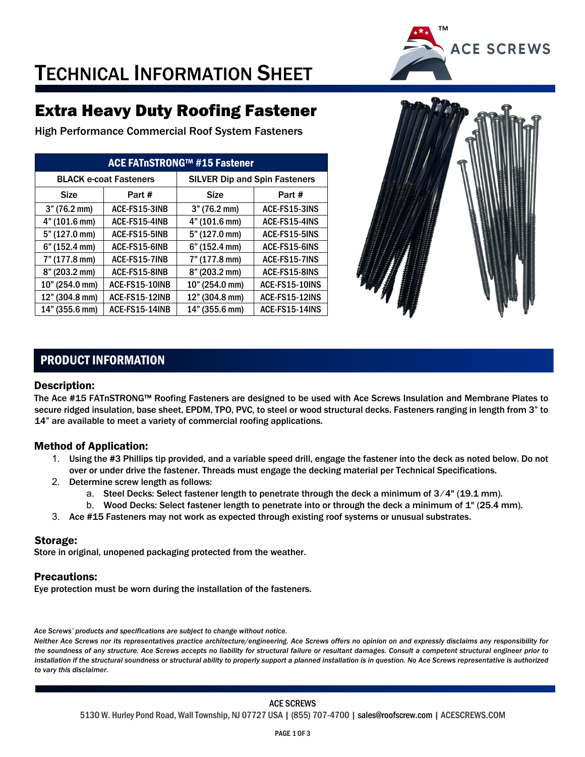

## TECHNICAL INFORMATION SHEET

### Extra Heavy Duty Roofing Fastener

High Performance Commercial Roof System Fasteners

| ACE FATnSTRONG™ #15 Fastener  |                |                                      |                |  |  |  |  |
|-------------------------------|----------------|--------------------------------------|----------------|--|--|--|--|
| <b>BLACK e-coat Fasteners</b> |                | <b>SILVER Dip and Spin Fasteners</b> |                |  |  |  |  |
| <b>Size</b>                   | Part #         | <b>Size</b>                          | Part #         |  |  |  |  |
| 3" (76.2 mm)                  | ACE-FS15-3INB  | 3" (76.2 mm)                         | ACE-FS15-3INS  |  |  |  |  |
| 4" (101.6 mm)                 | ACE-FS15-4INB  | 4" (101.6 mm)                        | ACE-FS15-4INS  |  |  |  |  |
| 5" (127.0 mm)                 | ACE-FS15-5INB  | 5" (127.0 mm)                        | ACE-FS15-5INS  |  |  |  |  |
| 6" (152.4 mm)                 | ACE-FS15-6INB  | 6" (152.4 mm)                        | ACE-FS15-6INS  |  |  |  |  |
| 7" (177.8 mm)                 | ACE-FS15-7INB  | 7" (177.8 mm)                        | ACE-FS15-7INS  |  |  |  |  |
| 8" (203.2 mm)                 | ACE-FS15-8INB  | 8" (203.2 mm)                        | ACE-FS15-8INS  |  |  |  |  |
| 10" (254.0 mm)                | ACE-FS15-10INB | 10" (254.0 mm)                       | ACE-FS15-10INS |  |  |  |  |
| 12" (304.8 mm)                | ACE-FS15-12INB | 12" (304.8 mm)                       | ACE-FS15-12INS |  |  |  |  |
| 14" (355.6 mm)                | ACE-FS15-14INB | 14" (355.6 mm)                       | ACE-FS15-14INS |  |  |  |  |



#### PRODUCT INFORMATION

#### Description:

The Ace #15 FATnSTRONG™ Roofing Fasteners are designed to be used with Ace Screws Insulation and Membrane Plates to secure ridged insulation, base sheet, EPDM, TPO, PVC, to steel or wood structural decks. Fasteners ranging in length from 3" to 14" are available to meet a variety of commercial roofing applications.

#### Method of Application:

- 1. Using the #3 Phillips tip provided, and a variable speed drill, engage the fastener into the deck as noted below. Do not over or under drive the fastener. Threads must engage the decking material per Technical Specifications.
- 2. Determine screw length as follows:
	- a. Steel Decks: Select fastener length to penetrate through the deck a minimum of 3/4" (19.1 mm).
	- b. Wood Decks: Select fastener length to penetrate into or through the deck a minimum of 1" (25.4 mm).
- 3. Ace #15 Fasteners may not work as expected through existing roof systems or unusual substrates.

#### Storage:

Store in original, unopened packaging protected from the weather.

#### Precautions:

Eye protection must be worn during the installation of the fasteners.

*Ace Screws' products and specifications are subject to change without notice.* 

*Neither Ace Screws nor its representatives practice architecture/engineering. Ace Screws offers no opinion on and expressly disclaims any responsibility for the soundness of any structure. Ace Screws accepts no liability for structural failure or resultant damages. Consult a competent structural engineer prior to*  installation if the structural soundness or structural ability to properly support a planned installation is in question. No Ace Screws representative is authorized *to vary this disclaimer.*

#### ACE SCREWS

5130 W. Hurley Pond Road, Wall Township, NJ 07727 USA | (855) 707-4700 | sales@roofscrew.com | ACESCREWS.COM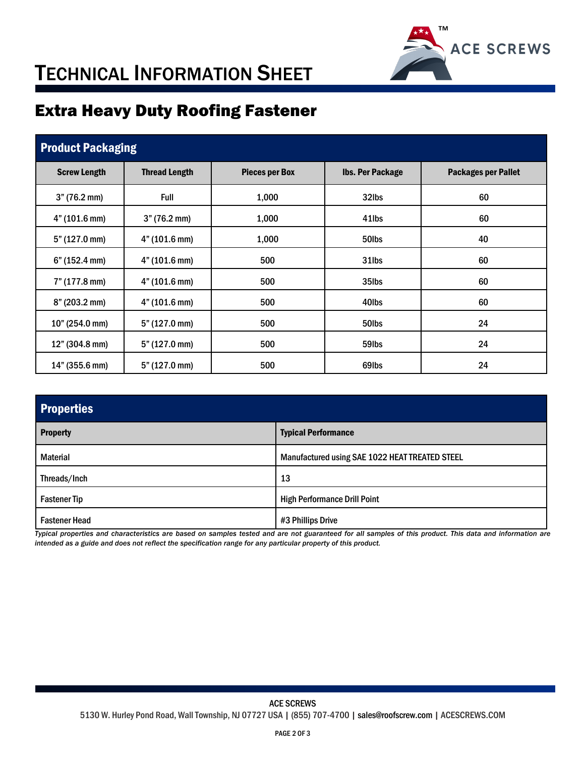

## TECHNICAL INFORMATION SHEET

### Extra Heavy Duty Roofing Fastener

| <b>Product Packaging</b> |                         |                       |                         |                            |  |  |  |  |
|--------------------------|-------------------------|-----------------------|-------------------------|----------------------------|--|--|--|--|
| <b>Screw Length</b>      | <b>Thread Length</b>    | <b>Pieces per Box</b> | <b>Ibs. Per Package</b> | <b>Packages per Pallet</b> |  |  |  |  |
| 3" (76.2 mm)             | Full                    | 1,000                 | 32lbs                   | 60                         |  |  |  |  |
| 4" (101.6 mm)            | 3" (76.2 mm)            | 1,000                 | 41lbs                   | 60                         |  |  |  |  |
| 5" (127.0 mm)            | 4" (101.6 mm)           | 1,000                 | 50lbs                   | 40                         |  |  |  |  |
| 6" (152.4 mm)            | 4" (101.6 mm)           | 500                   | 31lbs                   | 60                         |  |  |  |  |
| 7" (177.8 mm)            | 4" (101.6 mm)           | 500                   | 35lbs                   | 60                         |  |  |  |  |
| 8" (203.2 mm)            | 4" (101.6 mm)           | 500                   | 40lbs                   | 60                         |  |  |  |  |
| 10" (254.0 mm)           | 5" (127.0 mm)           | 500                   | 50lbs                   | 24                         |  |  |  |  |
| 12" (304.8 mm)           | $5" (127.0 \text{ mm})$ | 500                   | 59 <sub>lbs</sub>       | 24                         |  |  |  |  |
| 14" (355.6 mm)           | 5" (127.0 mm)           | 500                   | 69lbs                   | 24                         |  |  |  |  |

| <b>Properties</b>    |                                                |  |  |  |
|----------------------|------------------------------------------------|--|--|--|
| <b>Property</b>      | <b>Typical Performance</b>                     |  |  |  |
| <b>Material</b>      | Manufactured using SAE 1022 HEAT TREATED STEEL |  |  |  |
| Threads/Inch         | 13                                             |  |  |  |
| <b>Fastener Tip</b>  | <b>High Performance Drill Point</b>            |  |  |  |
| <b>Fastener Head</b> | #3 Phillips Drive                              |  |  |  |

*Typical properties and characteristics are based on samples tested and are not guaranteed for all samples of this product. This data and information are intended as a guide and does not reflect the specification range for any particular property of this product.* 

ACE SCREWS 5130 W. Hurley Pond Road, Wall Township, NJ 07727 USA | (855) 707-4700 | sales@roofscrew.com | ACESCREWS.COM